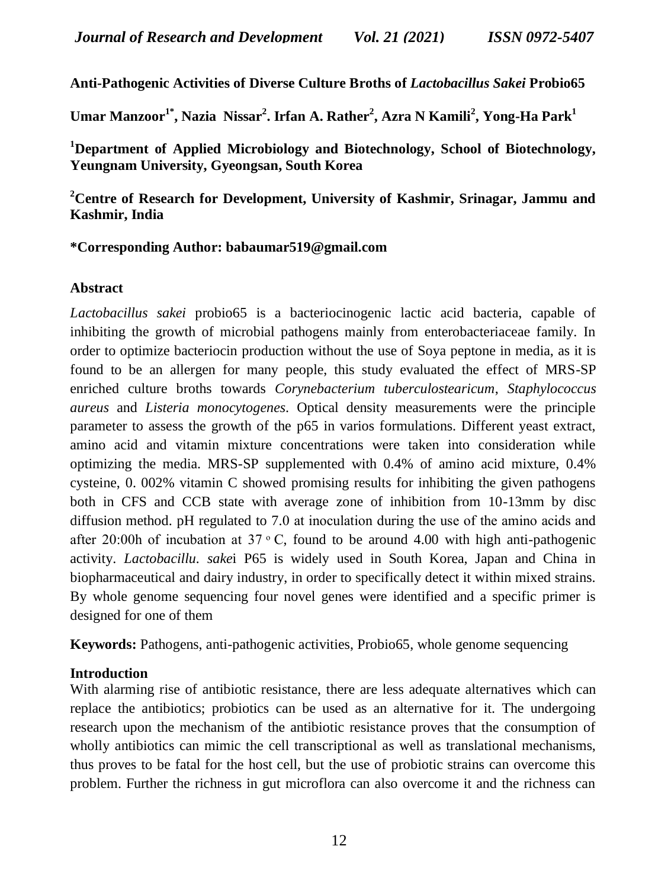**Anti-Pathogenic Activities of Diverse Culture Broths of** *Lactobacillus Sakei* **Probio65**

**Umar Manzoor1\* , Nazia Nissar<sup>2</sup> . Irfan A. Rather<sup>2</sup> , Azra N Kamili<sup>2</sup> , Yong-Ha Park<sup>1</sup>**

**<sup>1</sup>Department of Applied Microbiology and Biotechnology, School of Biotechnology, Yeungnam University, Gyeongsan, South Korea**

#### **<sup>2</sup>Centre of Research for Development, University of Kashmir, Srinagar, Jammu and Kashmir, India**

#### **\*Corresponding Author: babaumar519@gmail.com**

#### **Abstract**

*Lactobacillus sakei* probio65 is a bacteriocinogenic lactic acid bacteria, capable of inhibiting the growth of microbial pathogens mainly from enterobacteriaceae family. In order to optimize bacteriocin production without the use of Soya peptone in media, as it is found to be an allergen for many people, this study evaluated the effect of MRS-SP enriched culture broths towards *Corynebacterium tuberculostearicum*, *Staphylococcus aureus* and *Listeria monocytogenes*. Optical density measurements were the principle parameter to assess the growth of the p65 in varios formulations. Different yeast extract, amino acid and vitamin mixture concentrations were taken into consideration while optimizing the media. MRS-SP supplemented with 0.4% of amino acid mixture, 0.4% cysteine, 0. 002% vitamin C showed promising results for inhibiting the given pathogens both in CFS and CCB state with average zone of inhibition from 10-13mm by disc diffusion method. pH regulated to 7.0 at inoculation during the use of the amino acids and after 20:00h of incubation at  $37 \degree$ C, found to be around 4.00 with high anti-pathogenic activity. *Lactobacillu. sake*i P65 is widely used in South Korea, Japan and China in biopharmaceutical and dairy industry, in order to specifically detect it within mixed strains. By whole genome sequencing four novel genes were identified and a specific primer is designed for one of them

**Keywords:** Pathogens, anti-pathogenic activities, Probio65, whole genome sequencing

#### **Introduction**

With alarming rise of antibiotic resistance, there are less adequate alternatives which can replace the antibiotics; probiotics can be used as an alternative for it. The undergoing research upon the mechanism of the antibiotic resistance proves that the consumption of wholly antibiotics can mimic the cell transcriptional as well as translational mechanisms, thus proves to be fatal for the host cell, but the use of probiotic strains can overcome this problem. Further the richness in gut microflora can also overcome it and the richness can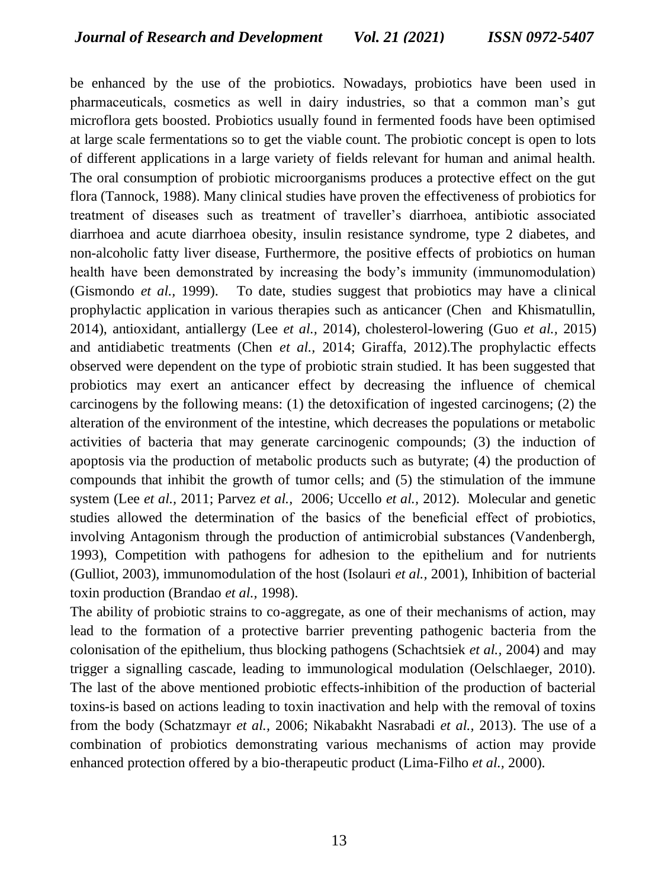be enhanced by the use of the probiotics. Nowadays, probiotics have been used in pharmaceuticals, cosmetics as well in dairy industries, so that a common man's gut microflora gets boosted. Probiotics usually found in fermented foods have been optimised at large scale fermentations so to get the viable count. The probiotic concept is open to lots of different applications in a large variety of fields relevant for human and animal health. The oral consumption of probiotic microorganisms produces a protective effect on the gut flora (Tannock, 1988). Many clinical studies have proven the effectiveness of probiotics for treatment of diseases such as treatment of traveller's diarrhoea, antibiotic associated diarrhoea and acute diarrhoea obesity, insulin resistance syndrome, type 2 diabetes, and non-alcoholic fatty liver disease, Furthermore, the positive effects of probiotics on human health have been demonstrated by increasing the body's immunity (immunomodulation) (Gismondo *et al.,* 1999). To date, studies suggest that probiotics may have a clinical prophylactic application in various therapies such as anticancer (Chen and Khismatullin, 2014), antioxidant, antiallergy (Lee *et al.,* 2014), cholesterol-lowering (Guo *et al.,* 2015) and antidiabetic treatments (Chen *et al.,* 2014; Giraffa, 2012).The prophylactic effects observed were dependent on the type of probiotic strain studied. It has been suggested that probiotics may exert an anticancer effect by decreasing the influence of chemical carcinogens by the following means: (1) the detoxification of ingested carcinogens; (2) the alteration of the environment of the intestine, which decreases the populations or metabolic activities of bacteria that may generate carcinogenic compounds; (3) the induction of apoptosis via the production of metabolic products such as butyrate; (4) the production of compounds that inhibit the growth of tumor cells; and (5) the stimulation of the immune system (Lee *et al.,* 2011; Parvez *et al.,* 2006; Uccello *et al.,* 2012). Molecular and genetic studies allowed the determination of the basics of the beneficial effect of probiotics, involving Antagonism through the production of antimicrobial substances (Vandenbergh, 1993), Competition with pathogens for adhesion to the epithelium and for nutrients (Gulliot, 2003), immunomodulation of the host (Isolauri *et al.,* 2001), Inhibition of bacterial toxin production (Brandao *et al.,* 1998).

The ability of probiotic strains to co-aggregate, as one of their mechanisms of action, may lead to the formation of a protective barrier preventing pathogenic bacteria from the colonisation of the epithelium, thus blocking pathogens (Schachtsiek *et al.,* 2004) and may trigger a signalling cascade, leading to immunological modulation (Oelschlaeger, 2010). The last of the above mentioned probiotic effects-inhibition of the production of bacterial toxins-is based on actions leading to toxin inactivation and help with the removal of toxins from the body (Schatzmayr *et al.,* 2006; Nikabakht Nasrabadi *et al.,* 2013). The use of a combination of probiotics demonstrating various mechanisms of action may provide enhanced protection offered by a bio-therapeutic product (Lima-Filho *et al.,* 2000).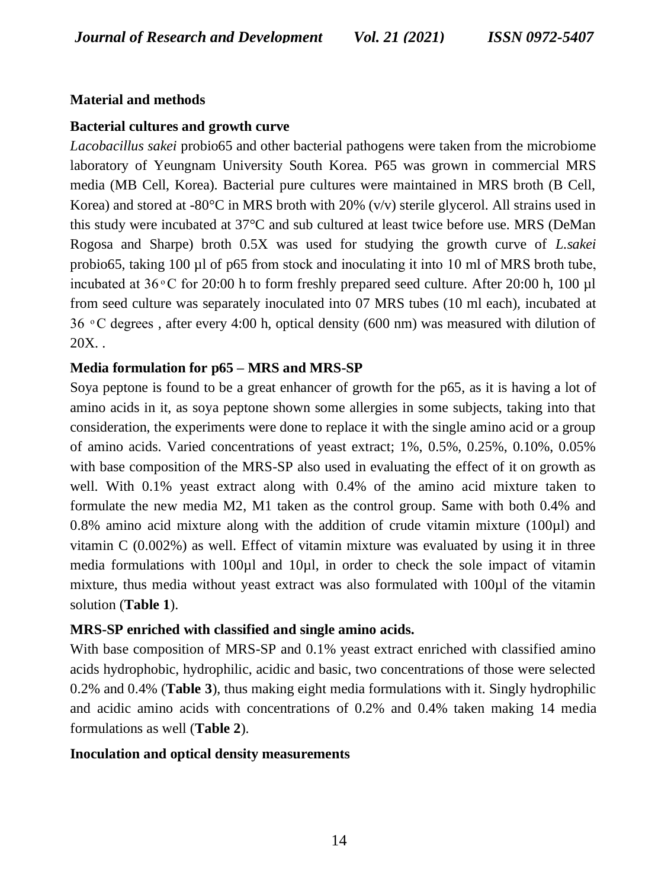### **Material and methods**

### **Bacterial cultures and growth curve**

*Lacobacillus sakei* probio65 and other bacterial pathogens were taken from the microbiome laboratory of Yeungnam University South Korea. P65 was grown in commercial MRS media (MB Cell, Korea). Bacterial pure cultures were maintained in MRS broth (B Cell, Korea) and stored at -80 $\degree$ C in MRS broth with 20% (v/v) sterile glycerol. All strains used in this study were incubated at 37°C and sub cultured at least twice before use. MRS (DeMan Rogosa and Sharpe) broth 0.5X was used for studying the growth curve of *L.sakei* probio65, taking  $100 \mu$  of p65 from stock and inoculating it into  $10 \mu$  of MRS broth tube, incubated at  $36\degree$ C for 20:00 h to form freshly prepared seed culture. After 20:00 h, 100 µl from seed culture was separately inoculated into 07 MRS tubes (10 ml each), incubated  $36 \degree$ C degrees, after every 4:00 h, optical density (600 nm) was measured with dilution of  $20X$ ..

### **Media formulation for p65 – MRS and MRS-SP**

Soya peptone is found to be a great enhancer of growth for the p65, as it is having a lot of amino acids in it, as soya peptone shown some allergies in some subjects, taking into that consideration, the experiments were done to replace it with the single amino acid or a group of amino acids. Varied concentrations of yeast extract; 1%, 0.5%, 0.25%, 0.10%, 0.05% with base composition of the MRS-SP also used in evaluating the effect of it on growth as well. With 0.1% yeast extract along with 0.4% of the amino acid mixture taken to formulate the new media M2, M1 taken as the control group. Same with both 0.4% and 0.8% amino acid mixture along with the addition of crude vitamin mixture (100µl) and vitamin C (0.002%) as well. Effect of vitamin mixture was evaluated by using it in three media formulations with 100µl and 10µl, in order to check the sole impact of vitamin mixture, thus media without yeast extract was also formulated with 100µl of the vitamin solution (**Table 1**).

### **MRS-SP enriched with classified and single amino acids.**

With base composition of MRS-SP and 0.1% yeast extract enriched with classified amino acids hydrophobic, hydrophilic, acidic and basic, two concentrations of those were selected 0.2% and 0.4% (**Table 3**), thus making eight media formulations with it. Singly hydrophilic and acidic amino acids with concentrations of 0.2% and 0.4% taken making 14 media formulations as well (**Table 2**).

### **Inoculation and optical density measurements**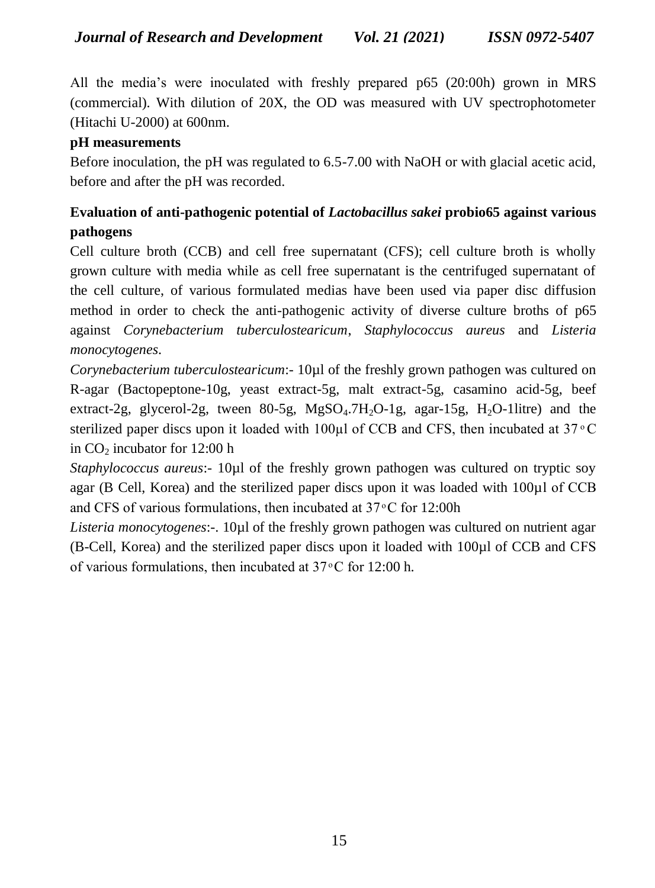All the media's were inoculated with freshly prepared  $p65$  (20:00h) grown in MRS (commercial). With dilution of 20X, the OD was measured with UV spectrophotometer (Hitachi U-2000) at 600nm.

### **pH measurements**

Before inoculation, the pH was regulated to 6.5-7.00 with NaOH or with glacial acetic acid, before and after the pH was recorded.

# **Evaluation of anti-pathogenic potential of** *Lactobacillus sakei* **probio65 against various pathogens**

Cell culture broth (CCB) and cell free supernatant (CFS); cell culture broth is wholly grown culture with media while as cell free supernatant is the centrifuged supernatant of the cell culture, of various formulated medias have been used via paper disc diffusion method in order to check the anti-pathogenic activity of diverse culture broths of p65 against *Corynebacterium tuberculostearicum*, *Staphylococcus aureus* and *Listeria monocytogenes*.

*Corynebacterium tuberculostearicum*:- 10µl of the freshly grown pathogen was cultured on R-agar (Bactopeptone-10g, yeast extract-5g, malt extract-5g, casamino acid-5g, beef extract-2g, glycerol-2g, tween 80-5g,  $MgSO<sub>4</sub>$ .7H<sub>2</sub>O-1g, agar-15g, H<sub>2</sub>O-1litre) and the sterilized paper discs upon it loaded with 100 $\mu$ l of CCB and CFS, then incubated at 37 $\degree$ C in  $CO<sub>2</sub>$  incubator for 12:00 h

*Staphylococcus aureus*: 10µl of the freshly grown pathogen was cultured on tryptic soy agar (B Cell, Korea) and the sterilized paper discs upon it was loaded with 100µl of CCB and CFS of various formulations, then incubated at  $37^{\circ}$ C for 12:00h

*Listeria monocytogenes*:-. 10µl of the freshly grown pathogen was cultured on nutrient agar (B-Cell, Korea) and the sterilized paper discs upon it loaded with 100µl of CCB and CF of various formulations, then incubated at  $37^{\circ}$ C for 12:00 h.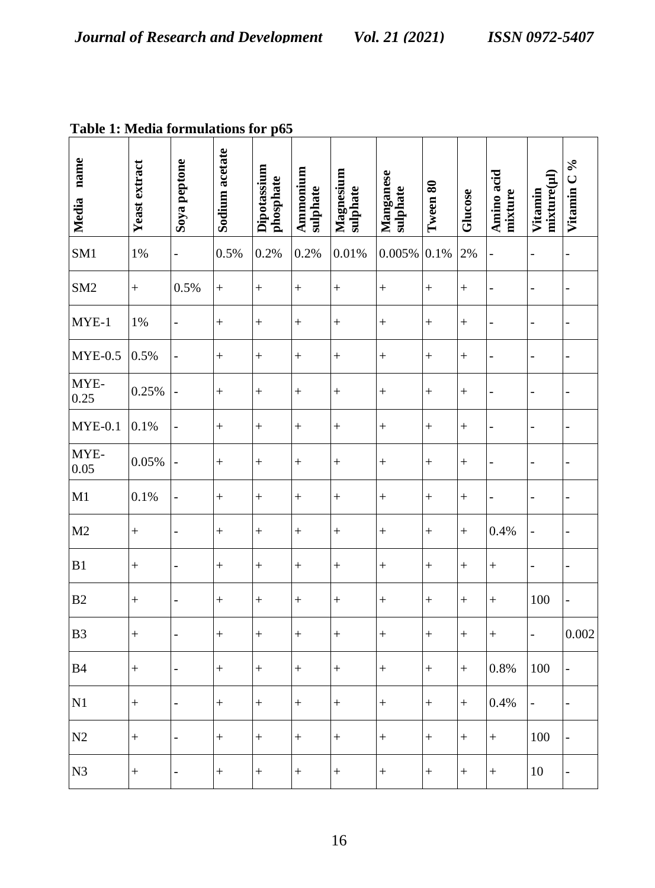| <b>Table 1</b> , <b>McGaa</b> formulations for |               |                          |                | $_{\rm hor}$             |                      |                       |                       |           |           |                       |                          |            |
|------------------------------------------------|---------------|--------------------------|----------------|--------------------------|----------------------|-----------------------|-----------------------|-----------|-----------|-----------------------|--------------------------|------------|
| Media name                                     | Yeast extract | Soya peptone             | Sodium acetate | Dipotassium<br>phosphate | Ammonium<br>sulphate | Magnesium<br>sulphate | Manganese<br>sulphate | Tween 80  | Glucose   | Amino acid<br>mixture | mixture(µl)<br>Vitamin   | Vitamin C% |
| SM <sub>1</sub>                                | $1\%$         | $\overline{a}$           | 0.5%           | 0.2%                     | 0.2%                 | 0.01%                 | 0.005%                | 0.1%      | 2%        | ÷                     | -                        |            |
| SM <sub>2</sub>                                | $\ddot{}$     | 0.5%                     | $^{+}$         | $\ddot{}$                | $\ddot{}$            | $\ddot{}$             | $\ddot{}$             | $\ddot{}$ | $\ddot{}$ | $\overline{a}$        |                          |            |
| $MYE-1$                                        | $1\%$         | $\overline{a}$           | $^{+}$         | $\ddot{}$                | $^{+}$               | $^{+}$                | $\ddot{}$             | $^{+}$    | $\ddot{}$ | $\overline{a}$        | $\overline{a}$           |            |
| $MYE-0.5$                                      | 0.5%          | $\overline{a}$           | $\ddot{}$      | $^{+}$                   | $^{+}$               | $\ddot{}$             | $\ddot{}$             | $^{+}$    | $\ddot{}$ | $\overline{a}$        | $\overline{\phantom{m}}$ |            |
| MYE-<br>0.25                                   | 0.25%         | $\overline{a}$           | $\ddot{}$      | $\ddot{}$                | $^{+}$               | $^{+}$                | $\ddot{}$             | $^{+}$    | $^{+}$    | $\overline{a}$        | $\overline{a}$           |            |
| $MYE-0.1$                                      | 0.1%          | $\overline{a}$           | $^{+}$         | $\ddot{}$                | $\ddot{}$            | $\ddot{}$             | $\ddot{}$             | $^{+}$    | $\ddot{}$ | $\overline{a}$        | $\overline{a}$           |            |
| MYE-<br>0.05                                   | 0.05%         | $\overline{a}$           | $\ddot{}$      | $\ddot{}$                | $^{+}$               | $\ddot{}$             | $\ddot{}$             | $\ddot{}$ | $\ddot{}$ | $\overline{a}$        | -                        |            |
| M1                                             | 0.1%          | $\overline{a}$           | $\ddot{}$      | $\ddot{}$                | $^{+}$               | $\qquad \qquad +$     | $\ddot{}$             | $^{+}$    | $^{+}$    | $\overline{a}$        | $\overline{\phantom{m}}$ |            |
| M <sub>2</sub>                                 | $\ddot{}$     | $\overline{a}$           | $\ddot{}$      | $^{+}$                   | $^{+}$               | $^{+}$                | $\ddot{}$             | $^{+}$    | $^{+}$    | 0.4%                  | $\overline{a}$           |            |
| B1                                             | $^{+}$        | $\overline{a}$           | $^{+}$         | $^{+}$                   | $^{+}$               | $\qquad \qquad +$     | $\ddot{}$             | $^{+}$    | $^{+}$    | $^{+}$                | $\overline{a}$           |            |
| B <sub>2</sub>                                 | $^{+}$        | $\overline{a}$           | $^{+}$         | $^{+}$                   | $^{+}$               | $\qquad \qquad +$     | $^{+}$                | $^{+}$    | $^{+}$    | $^{+}$                | 100                      |            |
| B <sub>3</sub>                                 | $\ddot{}$     | $\overline{a}$           | $\ddot{}$      | $\ddot{}$                | $\ddot{}$            | $^{+}$                | $\ddot{}$             | $^{+}$    | $^{+}$    | $^{+}$                | -                        | 0.002      |
| B <sub>4</sub>                                 | $^{+}$        | $\overline{a}$           | $^{+}$         | $\ddot{}$                | $^{+}$               | $\ddot{}$             | $\ddot{}$             | $^{+}$    | $\ddot{}$ | 0.8%                  | 100                      |            |
| N1                                             | $^{+}$        | $\overline{a}$           | $\ddot{}$      | $^{+}$                   | $^{+}$               | $^{+}$                | $\ddot{}$             | $^{+}$    | $\ddot{}$ | 0.4%                  |                          |            |
| N2                                             | $^{+}$        | $\overline{\phantom{0}}$ | $\ddot{}$      | $\ddot{}$                | $\ddot{}$            | $\ddot{}$             | $\ddot{}$             | $\ddot{}$ | $\ddot{}$ | $\ddot{}$             | 100                      |            |
| N <sub>3</sub>                                 | $^{+}$        | $\overline{a}$           | $^{+}$         | $^{+}$                   | $^{+}$               | $^{+}$                | $^{+}$                | $^{+}$    | $\ddot{}$ | $^{+}$                | 10                       |            |

**Table 1: Media formulations for p65**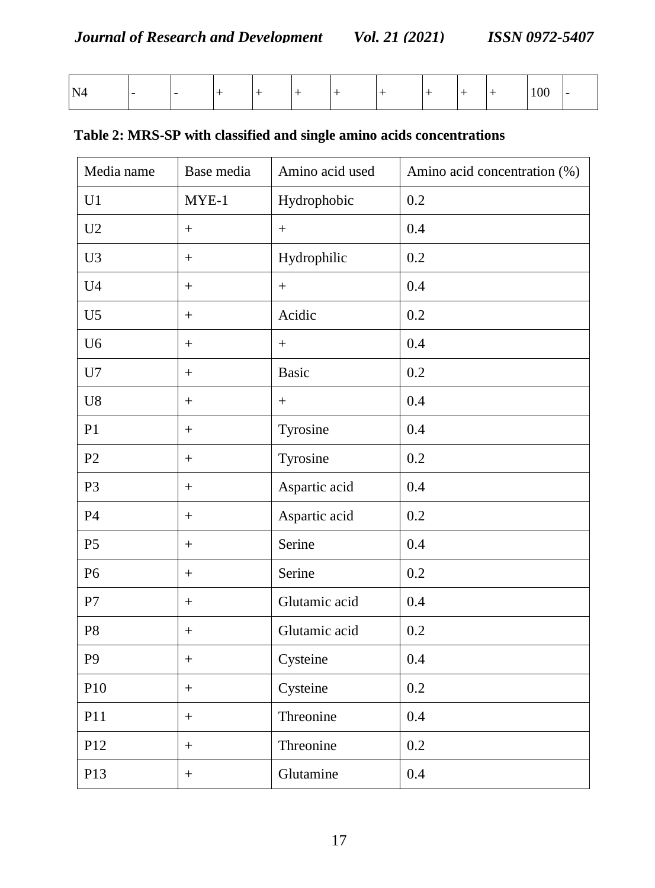| . .<br>N.<br>. . |  |  |  |  |  | ~~<br>$\mathbf{v}$ | - |
|------------------|--|--|--|--|--|--------------------|---|
|                  |  |  |  |  |  |                    |   |

| Media name     | Base media        | Amino acid used  | Amino acid concentration (%) |
|----------------|-------------------|------------------|------------------------------|
| U1             | $MYE-1$           | Hydrophobic      | 0.2                          |
| U <sub>2</sub> | $+$               | $+$              | 0.4                          |
| U <sub>3</sub> | $+$               | Hydrophilic      | 0.2                          |
| U <sub>4</sub> | $\boldsymbol{+}$  | $\boldsymbol{+}$ | 0.4                          |
| U <sub>5</sub> | $+$               | Acidic           | 0.2                          |
| U <sub>6</sub> | $^{+}$            | $+$              | 0.4                          |
| U7             | $+$               | <b>Basic</b>     | 0.2                          |
| U8             | $^{+}$            | $^{+}$           | 0.4                          |
| P1             | $+$               | Tyrosine         | 0.4                          |
| $\mathbf{P}2$  | $\pm$             | Tyrosine         | 0.2                          |
| P <sub>3</sub> | $\boldsymbol{+}$  | Aspartic acid    | 0.4                          |
| P4             | $\ddot{}$         | Aspartic acid    | 0.2                          |
| P <sub>5</sub> | $^{+}$            | Serine           | 0.4                          |
| P <sub>6</sub> | $\boldsymbol{+}$  | Serine           | 0.2                          |
| ${\bf P}7$     | $\boldsymbol{+}$  | Glutamic acid    | 0.4                          |
| P8             | $\boldsymbol{+}$  | Glutamic acid    | 0.2                          |
| P <sub>9</sub> | $\pm$             | Cysteine         | 0.4                          |
| P10            | $\boldsymbol{+}$  | Cysteine         | 0.2                          |
| P11            | $+$               | Threonine        | 0.4                          |
| P12            | $\qquad \qquad +$ | Threonine        | 0.2                          |
| P13            | $\boldsymbol{+}$  | Glutamine        | 0.4                          |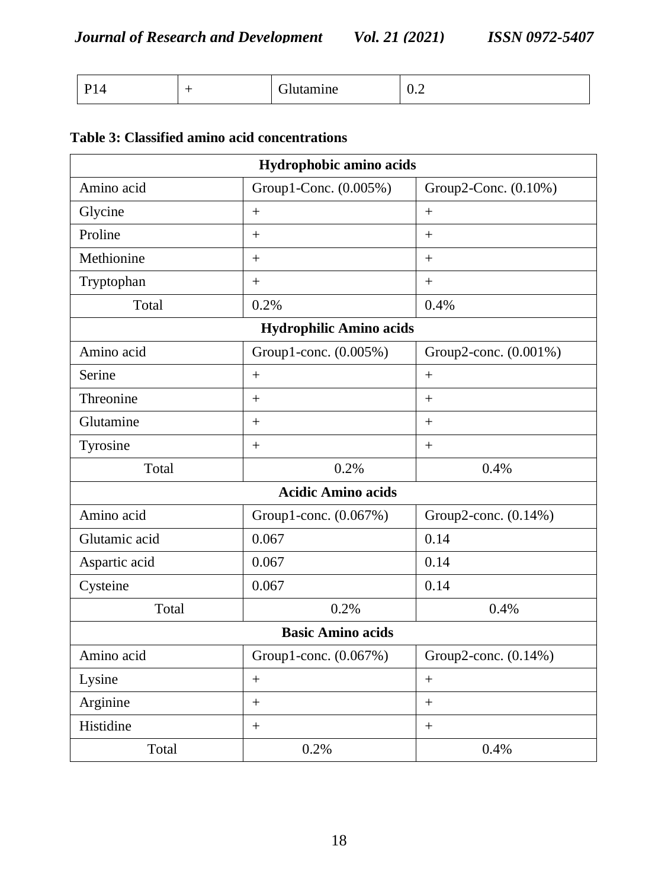| Ð΄<br>. . | ~<br>mine | $\mathsf{u} \cdot \mathsf{v}$ |
|-----------|-----------|-------------------------------|
|-----------|-----------|-------------------------------|

## **Table 3: Classified amino acid concentrations**

| Hydrophobic amino acids        |                           |                       |  |  |  |
|--------------------------------|---------------------------|-----------------------|--|--|--|
| Amino acid                     | Group1-Conc. (0.005%)     | Group2-Conc. (0.10%)  |  |  |  |
| Glycine                        | $+$                       | $+$                   |  |  |  |
| Proline                        | $+$                       | $+$                   |  |  |  |
| Methionine                     | $+$                       | $+$                   |  |  |  |
| Tryptophan                     | $+$                       | $+$                   |  |  |  |
| Total                          | 0.2%                      | 0.4%                  |  |  |  |
| <b>Hydrophilic Amino acids</b> |                           |                       |  |  |  |
| Amino acid                     | Group1-conc. (0.005%)     | Group2-conc. (0.001%) |  |  |  |
| Serine                         | $+$                       | $+$                   |  |  |  |
| Threonine                      | $+$                       | $+$                   |  |  |  |
| Glutamine                      | $+$                       | $+$                   |  |  |  |
| Tyrosine                       | $+$                       | $+$                   |  |  |  |
| Total                          | 0.2%                      | 0.4%                  |  |  |  |
|                                | <b>Acidic Amino acids</b> |                       |  |  |  |
| Amino acid                     | Group1-conc. (0.067%)     | Group2-conc. (0.14%)  |  |  |  |
| Glutamic acid                  | 0.067                     | 0.14                  |  |  |  |
| Aspartic acid                  | 0.067                     | 0.14                  |  |  |  |
| Cysteine                       | 0.067                     | 0.14                  |  |  |  |
| Total                          | 0.2%                      | 0.4%                  |  |  |  |
|                                | <b>Basic Amino acids</b>  |                       |  |  |  |
| Amino acid                     | Group1-conc. (0.067%)     | Group2-conc. (0.14%)  |  |  |  |
| Lysine                         | $+$                       | $+$                   |  |  |  |
| Arginine                       | $+$                       | $+$                   |  |  |  |
| Histidine                      | $^{+}$                    | $+$                   |  |  |  |
| Total                          | 0.2%                      | 0.4%                  |  |  |  |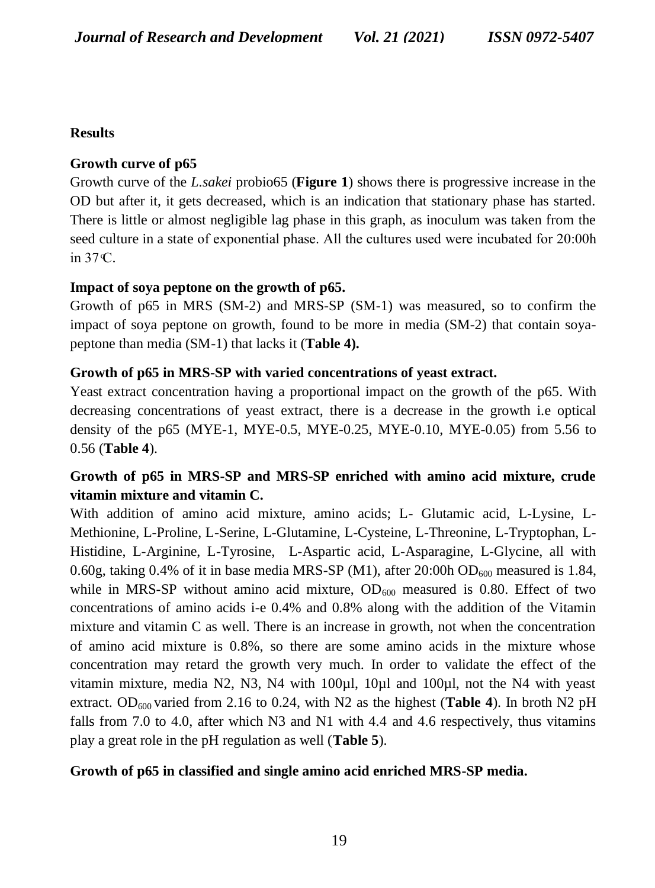## **Results**

## **Growth curve of p65**

Growth curve of the *L.sakei* probio65 (**Figure 1**) shows there is progressive increase in the OD but after it, it gets decreased, which is an indication that stationary phase has started. There is little or almost negligible lag phase in this graph, as inoculum was taken from the seed culture in a state of exponential phase. All the cultures used were incubated for 20:00h in 37 C.

## **Impact of soya peptone on the growth of p65.**

Growth of p65 in MRS (SM-2) and MRS-SP (SM-1) was measured, so to confirm the impact of soya peptone on growth, found to be more in media (SM-2) that contain soyapeptone than media (SM-1) that lacks it (**Table 4).**

## **Growth of p65 in MRS-SP with varied concentrations of yeast extract.**

Yeast extract concentration having a proportional impact on the growth of the p65. With decreasing concentrations of yeast extract, there is a decrease in the growth i.e optical density of the p65 (MYE-1, MYE-0.5, MYE-0.25, MYE-0.10, MYE-0.05) from 5.56 to 0.56 (**Table 4**).

# **Growth of p65 in MRS-SP and MRS-SP enriched with amino acid mixture, crude vitamin mixture and vitamin C.**

With addition of amino acid mixture, amino acids; L- Glutamic acid, L-Lysine, L-Methionine, L-Proline, L-Serine, L-Glutamine, L-Cysteine, L-Threonine, L-Tryptophan, L-Histidine, L-Arginine, L-Tyrosine, L-Aspartic acid, L-Asparagine, L-Glycine, all with 0.60g, taking 0.4% of it in base media MRS-SP (M1), after 20:00h OD<sub>600</sub> measured is 1.84, while in MRS-SP without amino acid mixture,  $OD_{600}$  measured is 0.80. Effect of two concentrations of amino acids i-e 0.4% and 0.8% along with the addition of the Vitamin mixture and vitamin C as well. There is an increase in growth, not when the concentration of amino acid mixture is 0.8%, so there are some amino acids in the mixture whose concentration may retard the growth very much. In order to validate the effect of the vitamin mixture, media N2, N3, N4 with 100µl, 10µl and 100µl, not the N4 with yeast extract. OD<sub>600</sub> varied from 2.16 to 0.24, with N2 as the highest (**Table 4**). In broth N2 pH falls from 7.0 to 4.0, after which N3 and N1 with 4.4 and 4.6 respectively, thus vitamins play a great role in the pH regulation as well (**Table 5**).

## **Growth of p65 in classified and single amino acid enriched MRS-SP media.**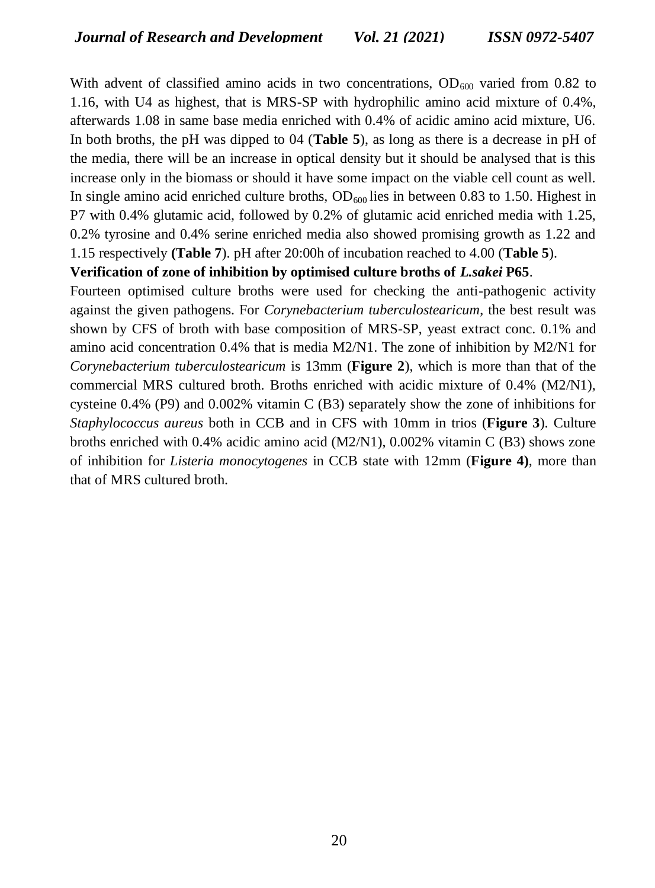With advent of classified amino acids in two concentrations,  $OD_{600}$  varied from 0.82 to 1.16, with U4 as highest, that is MRS-SP with hydrophilic amino acid mixture of 0.4%, afterwards 1.08 in same base media enriched with 0.4% of acidic amino acid mixture, U6. In both broths, the pH was dipped to 04 (**Table 5**), as long as there is a decrease in pH of the media, there will be an increase in optical density but it should be analysed that is this increase only in the biomass or should it have some impact on the viable cell count as well. In single amino acid enriched culture broths,  $OD_{600}$  lies in between 0.83 to 1.50. Highest in P7 with 0.4% glutamic acid, followed by 0.2% of glutamic acid enriched media with 1.25, 0.2% tyrosine and 0.4% serine enriched media also showed promising growth as 1.22 and 1.15 respectively **(Table 7**). pH after 20:00h of incubation reached to 4.00 (**Table 5**).

#### **Verification of zone of inhibition by optimised culture broths of** *L.sakei* **P65**.

Fourteen optimised culture broths were used for checking the anti-pathogenic activity against the given pathogens. For *Corynebacterium tuberculostearicum*, the best result was shown by CFS of broth with base composition of MRS-SP, yeast extract conc. 0.1% and amino acid concentration 0.4% that is media M2/N1. The zone of inhibition by M2/N1 for *Corynebacterium tuberculostearicum* is 13mm (**Figure 2**), which is more than that of the commercial MRS cultured broth. Broths enriched with acidic mixture of 0.4% (M2/N1), cysteine 0.4% (P9) and 0.002% vitamin C (B3) separately show the zone of inhibitions for *Staphylococcus aureus* both in CCB and in CFS with 10mm in trios (**Figure 3**). Culture broths enriched with 0.4% acidic amino acid (M2/N1), 0.002% vitamin C (B3) shows zone of inhibition for *Listeria monocytogenes* in CCB state with 12mm (**Figure 4)**, more than that of MRS cultured broth.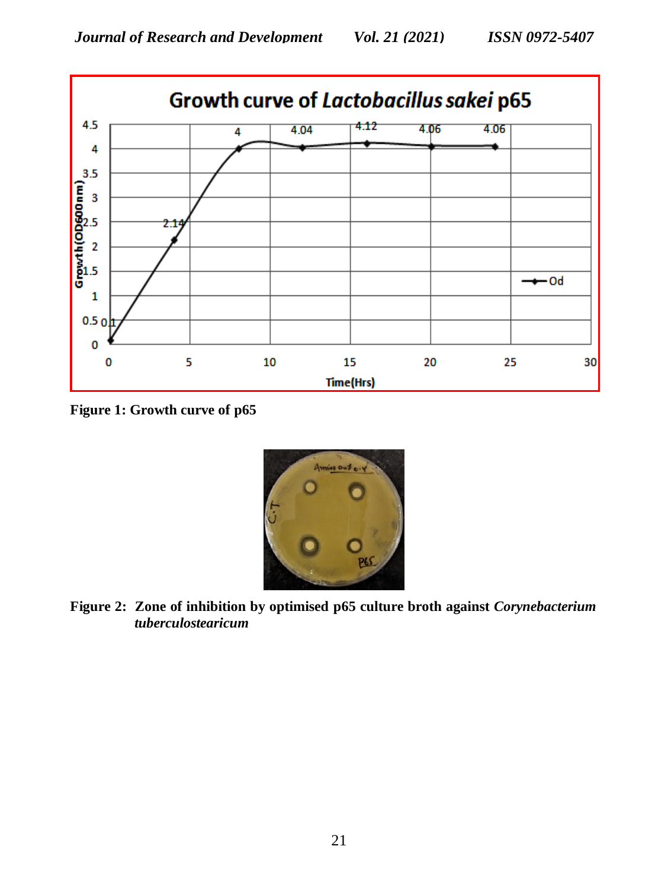

**Figure 1: Growth curve of p65**



**Figure 2: Zone of inhibition by optimised p65 culture broth against** *Corynebacterium tuberculostearicum*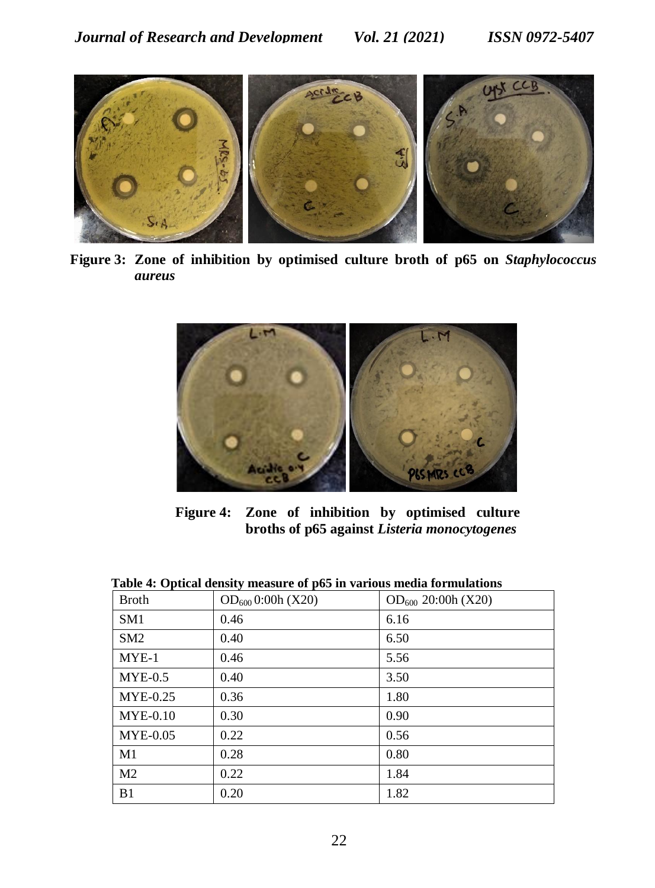

**Figure 3: Zone of inhibition by optimised culture broth of p65 on** *Staphylococcus aureus*



**Figure 4: Zone of inhibition by optimised culture broths of p65 against** *Listeria monocytogenes*

| <b>Broth</b>    | $OD_{600}$ 0:00h (X20) | $OD_{600}$ 20:00h (X20) |
|-----------------|------------------------|-------------------------|
| SM1             | 0.46                   | 6.16                    |
| SM2             | 0.40                   | 6.50                    |
| $MYE-1$         | 0.46                   | 5.56                    |
| $MYE-0.5$       | 0.40                   | 3.50                    |
| <b>MYE-0.25</b> | 0.36                   | 1.80                    |
| $MYE-0.10$      | 0.30                   | 0.90                    |
| <b>MYE-0.05</b> | 0.22                   | 0.56                    |
| M <sub>1</sub>  | 0.28                   | 0.80                    |
| M <sub>2</sub>  | 0.22                   | 1.84                    |
| B <sub>1</sub>  | 0.20                   | 1.82                    |

#### **Table 4: Optical density measure of p65 in various media formulations**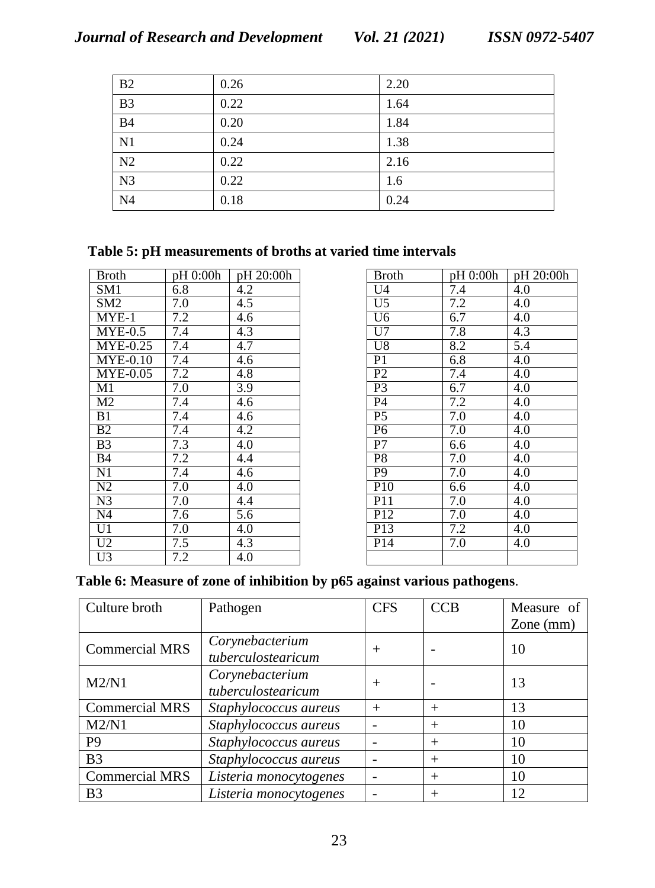| B2              | 0.26 | 2.20 |
|-----------------|------|------|
| $\overline{B3}$ | 0.22 | 1.64 |
| $\overline{B4}$ | 0.20 | 1.84 |
| N <sub>1</sub>  | 0.24 | 1.38 |
| N <sub>2</sub>  | 0.22 | 2.16 |
| N <sub>3</sub>  | 0.22 | 1.6  |
| N <sub>4</sub>  | 0.18 | 0.24 |

## **Table 5: pH measurements of broths at varied time intervals**

| <b>Broth</b>                  | pH 0:00h         | pH 20:00h        |
|-------------------------------|------------------|------------------|
| SM1                           | 6.8              | 4.2              |
| SM2                           | 7.0              | 4.5              |
| $MYE-1$                       | 7.2              | 4.6              |
| $MYE-0.5$                     | 7.4              | 4.3              |
| <b>MYE-0.25</b>               | 7.4              | 4.7              |
| $\overline{\text{MYE}}$ -0.10 | 7.4              | 4.6              |
| $\overline{\text{MYE}}$ -0.05 | $\overline{7.2}$ | 4.8              |
| M1                            | 7.0              | 3.9              |
| M <sub>2</sub>                | 7.4              | 4.6              |
| B <sub>1</sub>                | 7.4              | 4.6              |
| B <sub>2</sub>                | 7.4              | 4.2              |
| B <sub>3</sub>                | 7.3              | 4.0              |
| B <sub>4</sub>                | 7.2              | 4.4              |
| $\overline{N1}$               | 7.4              | $\overline{4.6}$ |
| N2                            | $\overline{7.0}$ | 4.0              |
| N <sub>3</sub>                | 7.0              | 4.4              |
| N4                            | 7.6              | 5.6              |
| U1                            | 7.0              | 4.0              |
| U2                            | 7.5              | $\overline{4.3}$ |
| Ū3                            | 7.2              | 4.0              |

| Broth            | pH 0:00h         | pH 20:00h        |
|------------------|------------------|------------------|
| U4               | 7.4              | 4.0              |
| $\overline{U}$ 5 | 7.2              | 4.0              |
| U6               | 6.7              | 4.0              |
| U7               | 7.8              | 4.3              |
| U8               | 8.2              | 5.4              |
| P <sub>1</sub>   | 6.8              | 4.0              |
| P <sub>2</sub>   | 7.4              | 4.0              |
| P <sub>3</sub>   | 6.7              | 4.0              |
| <b>P4</b>        | 7.2              | 4.0              |
| P <sub>5</sub>   | $\overline{7.0}$ | 4.0              |
| P <sub>6</sub>   | 7.0              | 4.0              |
| P7               | 6.6              | 4.0              |
| P <sub>8</sub>   | 7.0              | 4.0              |
| $\overline{P9}$  | 7.0              | $\overline{4.0}$ |
| P10              | 6.6              | $\overline{4.0}$ |
| P <sub>11</sub>  | 7.0              | 4.0              |
| P <sub>12</sub>  | 7.0              | 4.0              |
| P13              | 7.2              | 4.0              |
| P <sub>14</sub>  | 7.0              | 4.0              |
|                  |                  |                  |

### **Table 6: Measure of zone of inhibition by p65 against various pathogens**.

| Culture broth         | Pathogen               | <b>CFS</b> | <b>CCB</b> | Measure of  |  |
|-----------------------|------------------------|------------|------------|-------------|--|
|                       |                        |            |            | Zone $(mm)$ |  |
| <b>Commercial MRS</b> | Corynebacterium        |            |            | 10          |  |
|                       | tuberculostearicum     | $^{+}$     |            |             |  |
| M2/N1                 | Corynebacterium        |            |            | 13          |  |
|                       | tuberculostearicum     | $^{+}$     |            |             |  |
| <b>Commercial MRS</b> | Staphylococcus aureus  | $^{+}$     | $^{+}$     | 13          |  |
| M2/N1                 | Staphylococcus aureus  |            | $^{+}$     | 10          |  |
| P <sub>9</sub>        | Staphylococcus aureus  |            | $^{+}$     | 10          |  |
| B <sub>3</sub>        | Staphylococcus aureus  |            | $^{+}$     | 10          |  |
| <b>Commercial MRS</b> | Listeria monocytogenes |            | $^{+}$     | 10          |  |
| B <sub>3</sub>        | Listeria monocytogenes |            | $^{+}$     | 12          |  |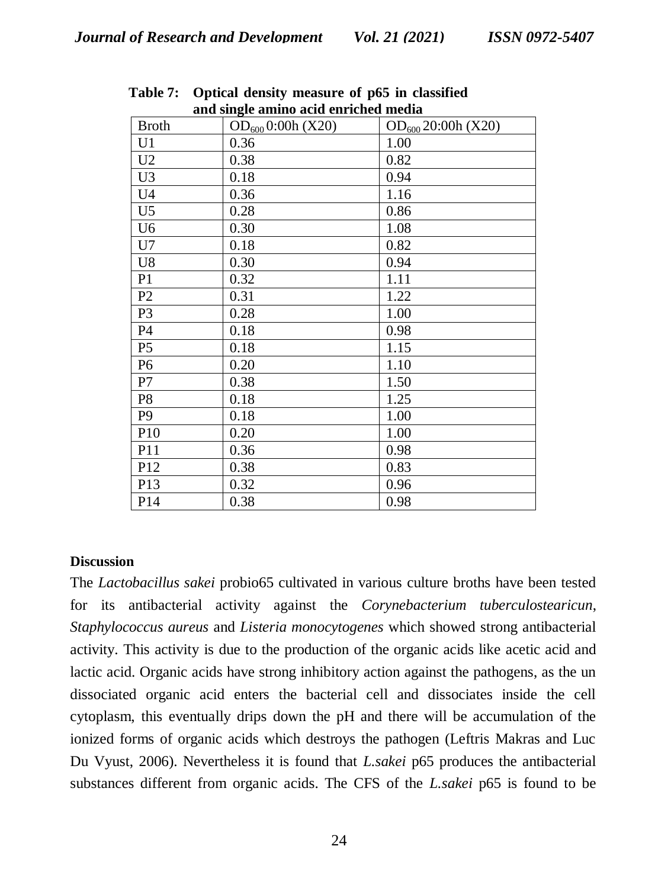| and single annino acid enficiled media |                        |                         |  |  |  |  |  |
|----------------------------------------|------------------------|-------------------------|--|--|--|--|--|
| <b>Broth</b>                           | $OD_{600}$ 0:00h (X20) | $OD_{600} 20:00h (X20)$ |  |  |  |  |  |
| U <sub>1</sub>                         | 0.36                   | 1.00                    |  |  |  |  |  |
| U <sub>2</sub>                         | 0.38                   | 0.82                    |  |  |  |  |  |
| U <sub>3</sub>                         | 0.18                   | 0.94                    |  |  |  |  |  |
| U <sub>4</sub>                         | 0.36                   | 1.16                    |  |  |  |  |  |
| U <sub>5</sub>                         | 0.28                   | 0.86                    |  |  |  |  |  |
| U <sub>6</sub>                         | 0.30                   | 1.08                    |  |  |  |  |  |
| U7                                     | 0.18                   | 0.82                    |  |  |  |  |  |
| U8                                     | 0.30                   | 0.94                    |  |  |  |  |  |
| P <sub>1</sub>                         | 0.32                   | 1.11                    |  |  |  |  |  |
| P <sub>2</sub>                         | 0.31                   | 1.22                    |  |  |  |  |  |
| P <sub>3</sub>                         | 0.28                   | 1.00                    |  |  |  |  |  |
| P <sub>4</sub>                         | 0.18                   | 0.98                    |  |  |  |  |  |
| P <sub>5</sub>                         | 0.18                   | 1.15                    |  |  |  |  |  |
| P <sub>6</sub>                         | 0.20                   | 1.10                    |  |  |  |  |  |
| P7                                     | 0.38                   | 1.50                    |  |  |  |  |  |
| P <sub>8</sub>                         | 0.18                   | 1.25                    |  |  |  |  |  |
| P <sub>9</sub>                         | 0.18                   | 1.00                    |  |  |  |  |  |
| P10                                    | 0.20                   | 1.00                    |  |  |  |  |  |
| P11                                    | 0.36                   | 0.98                    |  |  |  |  |  |
| P12                                    | 0.38                   | 0.83                    |  |  |  |  |  |
| P13                                    | 0.32                   | 0.96                    |  |  |  |  |  |
| P <sub>14</sub>                        | 0.38                   | 0.98                    |  |  |  |  |  |

**Table 7: Optical density measure of p65 in classified and single amino acid enriched media** 

#### **Discussion**

The *Lactobacillus sakei* probio65 cultivated in various culture broths have been tested for its antibacterial activity against the *Corynebacterium tuberculostearicun*, *Staphylococcus aureus* and *Listeria monocytogenes* which showed strong antibacterial activity. This activity is due to the production of the organic acids like acetic acid and lactic acid. Organic acids have strong inhibitory action against the pathogens, as the un dissociated organic acid enters the bacterial cell and dissociates inside the cell cytoplasm, this eventually drips down the pH and there will be accumulation of the ionized forms of organic acids which destroys the pathogen (Leftris Makras and Luc Du Vyust, 2006). Nevertheless it is found that *L.sakei* p65 produces the antibacterial substances different from organic acids. The CFS of the *L.sakei* p65 is found to be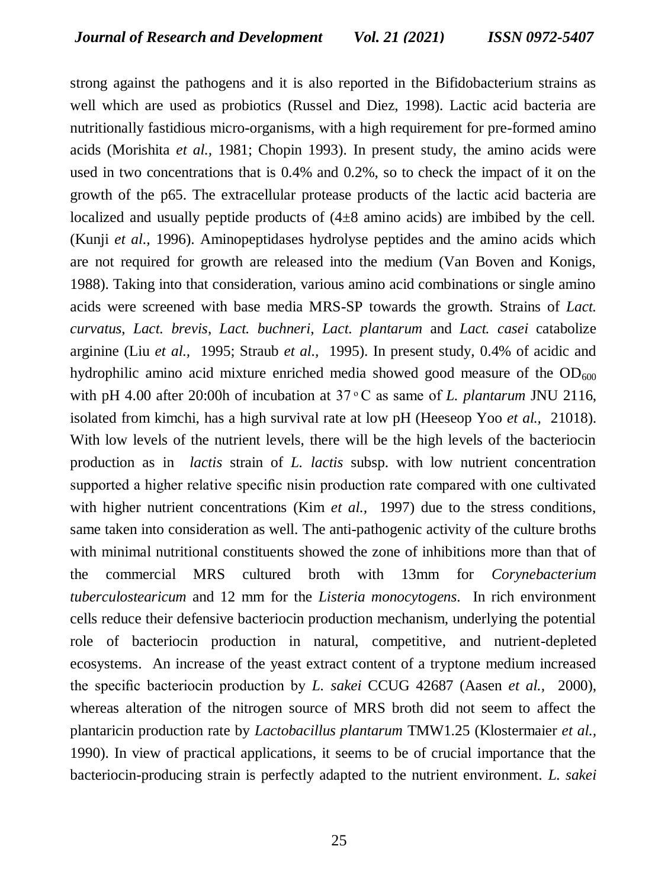strong against the pathogens and it is also reported in the Bifidobacterium strains as well which are used as probiotics (Russel and Diez, 1998). Lactic acid bacteria are nutritionally fastidious micro-organisms, with a high requirement for pre-formed amino acids (Morishita *et al.,* 1981; Chopin 1993). In present study, the amino acids were used in two concentrations that is 0.4% and 0.2%, so to check the impact of it on the growth of the p65. The extracellular protease products of the lactic acid bacteria are localized and usually peptide products of (4±8 amino acids) are imbibed by the cell. (Kunji *et al.,* 1996). Aminopeptidases hydrolyse peptides and the amino acids which are not required for growth are released into the medium (Van Boven and Konigs, 1988). Taking into that consideration, various amino acid combinations or single amino acids were screened with base media MRS-SP towards the growth. Strains of *Lact. curvatus*, *Lact. brevis*, *Lact. buchneri*, *Lact. plantarum* and *Lact. casei* catabolize arginine (Liu *et al.,* 1995; Straub *et al.,* 1995). In present study, 0.4% of acidic and hydrophilic amino acid mixture enriched media showed good measure of the  $OD_{600}$ with pH 4.00 after 20:00h of incubation at 37 °C as same of *L. plantarum* JNU 2116, isolated from kimchi, has a high survival rate at low pH (Heeseop Yoo *et al.,* 21018). With low levels of the nutrient levels, there will be the high levels of the bacteriocin production as in *lactis* strain of *L. lactis* subsp. with low nutrient concentration supported a higher relative specific nisin production rate compared with one cultivated with higher nutrient concentrations (Kim *et al.*, 1997) due to the stress conditions, same taken into consideration as well. The anti-pathogenic activity of the culture broths with minimal nutritional constituents showed the zone of inhibitions more than that of the commercial MRS cultured broth with 13mm for *Corynebacterium tuberculostearicum* and 12 mm for the *Listeria monocytogens*. In rich environment cells reduce their defensive bacteriocin production mechanism, underlying the potential role of bacteriocin production in natural, competitive, and nutrient-depleted ecosystems. An increase of the yeast extract content of a tryptone medium increased the specific bacteriocin production by *L. sakei* CCUG 42687 (Aasen *et al.,* 2000), whereas alteration of the nitrogen source of MRS broth did not seem to affect the plantaricin production rate by *Lactobacillus plantarum* TMW1.25 (Klostermaier *et al.,*  1990). In view of practical applications, it seems to be of crucial importance that the bacteriocin-producing strain is perfectly adapted to the nutrient environment. *L. sakei*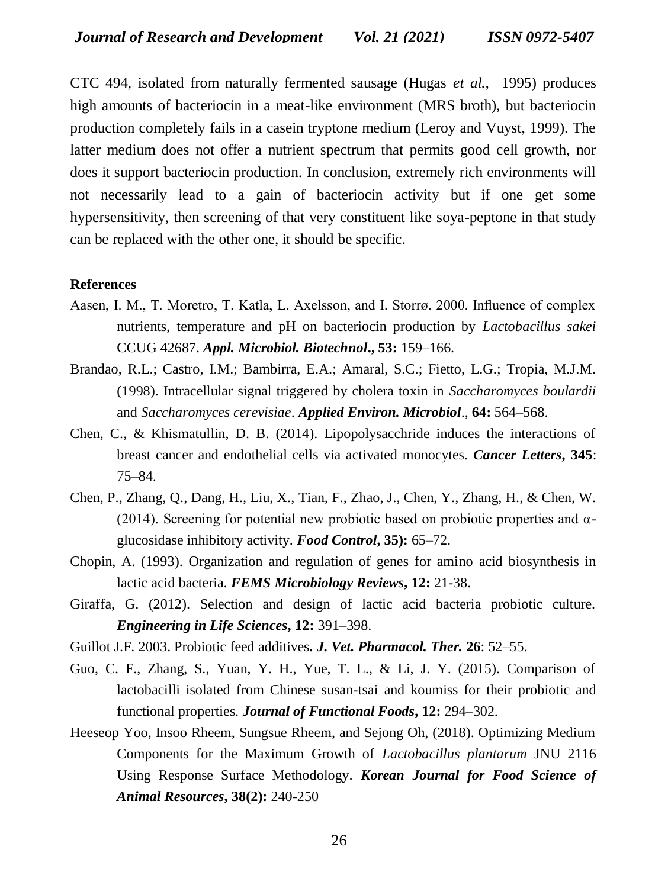CTC 494, isolated from naturally fermented sausage (Hugas *et al.,* 1995) produces high amounts of bacteriocin in a meat-like environment (MRS broth), but bacteriocin production completely fails in a casein tryptone medium (Leroy and Vuyst, 1999). The latter medium does not offer a nutrient spectrum that permits good cell growth, nor does it support bacteriocin production. In conclusion, extremely rich environments will not necessarily lead to a gain of bacteriocin activity but if one get some hypersensitivity, then screening of that very constituent like soya-peptone in that study can be replaced with the other one, it should be specific.

#### **References**

- Aasen, I. M., T. Moretro, T. Katla, L. Axelsson, and I. Storrø. 2000. Influence of complex nutrients, temperature and pH on bacteriocin production by *Lactobacillus sakei* CCUG 42687. *Appl. Microbiol. Biotechnol***., 53:** 159–166.
- Brandao, R.L.; Castro, I.M.; Bambirra, E.A.; Amaral, S.C.; Fietto, L.G.; Tropia, M.J.M. (1998). Intracellular signal triggered by cholera toxin in *Saccharomyces boulardii* and *Saccharomyces cerevisiae*. *Applied Environ. Microbiol*., **64:** 564–568.
- Chen, C., & Khismatullin, D. B. (2014). Lipopolysacchride induces the interactions of breast cancer and endothelial cells via activated monocytes. *Cancer Letters***, 345**: 75–84.
- Chen, P., Zhang, Q., Dang, H., Liu, X., Tian, F., Zhao, J., Chen, Y., Zhang, H., & Chen, W. (2014). Screening for potential new probiotic based on probiotic properties and  $\alpha$ glucosidase inhibitory activity. *Food Control***, 35):** 65–72.
- Chopin, A. (1993). Organization and regulation of genes for amino acid biosynthesis in lactic acid bacteria. *FEMS Microbiology Reviews***, 12:** 21-38.
- Giraffa, G. (2012). Selection and design of lactic acid bacteria probiotic culture. *Engineering in Life Sciences***, 12:** 391–398.
- Guillot J.F. 2003. Probiotic feed additives*. J. Vet. Pharmacol. Ther.* **26**: 52–55.
- Guo, C. F., Zhang, S., Yuan, Y. H., Yue, T. L., & Li, J. Y. (2015). Comparison of lactobacilli isolated from Chinese susan-tsai and koumiss for their probiotic and functional properties. *Journal of Functional Foods***, 12:** 294–302.
- Heeseop Yoo, Insoo Rheem, Sungsue Rheem, and Sejong Oh, (2018). Optimizing Medium Components for the Maximum Growth of *Lactobacillus plantarum* JNU 2116 Using Response Surface Methodology. *Korean Journal for Food Science of Animal Resources***, 38(2):** 240-250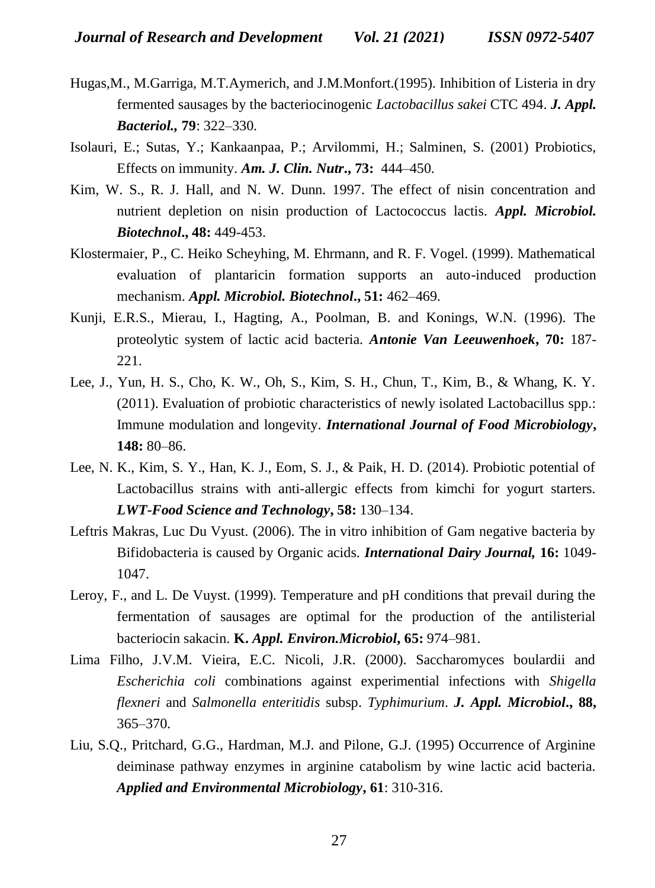- Hugas,M., M.Garriga, M.T.Aymerich, and J.M.Monfort.(1995). Inhibition of Listeria in dry fermented sausages by the bacteriocinogenic *Lactobacillus sakei* CTC 494. *J. Appl. Bacteriol.,* **79**: 322–330.
- Isolauri, E.; Sutas, Y.; Kankaanpaa, P.; Arvilommi, H.; Salminen, S. (2001) Probiotics, Effects on immunity. *Am. J. Clin. Nutr***., 73:** 444–450.
- Kim, W. S., R. J. Hall, and N. W. Dunn. 1997. The effect of nisin concentration and nutrient depletion on nisin production of Lactococcus lactis. *Appl. Microbiol. Biotechnol***., 48:** 449-453.
- Klostermaier, P., C. Heiko Scheyhing, M. Ehrmann, and R. F. Vogel. (1999). Mathematical evaluation of plantaricin formation supports an auto-induced production mechanism. *Appl. Microbiol. Biotechnol***., 51:** 462–469.
- Kunji, E.R.S., Mierau, I., Hagting, A., Poolman, B. and Konings, W.N. (1996). The proteolytic system of lactic acid bacteria. *Antonie Van Leeuwenhoek***, 70:** 187- 221.
- Lee, J., Yun, H. S., Cho, K. W., Oh, S., Kim, S. H., Chun, T., Kim, B., & Whang, K. Y. (2011). Evaluation of probiotic characteristics of newly isolated Lactobacillus spp.: Immune modulation and longevity. *International Journal of Food Microbiology***, 148:** 80–86.
- Lee, N. K., Kim, S. Y., Han, K. J., Eom, S. J., & Paik, H. D. (2014). Probiotic potential of Lactobacillus strains with anti-allergic effects from kimchi for yogurt starters. *LWT-Food Science and Technology***, 58:** 130–134.
- Leftris Makras, Luc Du Vyust. (2006). The in vitro inhibition of Gam negative bacteria by Bifidobacteria is caused by Organic acids. *International Dairy Journal,* **16:** 1049- 1047.
- Leroy, F., and L. De Vuyst. (1999). Temperature and pH conditions that prevail during the fermentation of sausages are optimal for the production of the antilisterial bacteriocin sakacin. **K.** *Appl. Environ.Microbiol***, 65:** 974–981.
- Lima Filho, J.V.M. Vieira, E.C. Nicoli, J.R. (2000). Saccharomyces boulardii and *Escherichia coli* combinations against experimential infections with *Shigella flexneri* and *Salmonella enteritidis* subsp. *Typhimurium*. *J. Appl. Microbiol***., 88,** 365–370.
- Liu, S.Q., Pritchard, G.G., Hardman, M.J. and Pilone, G.J. (1995) Occurrence of Arginine deiminase pathway enzymes in arginine catabolism by wine lactic acid bacteria. *Applied and Environmental Microbiology***, 61**: 310-316.